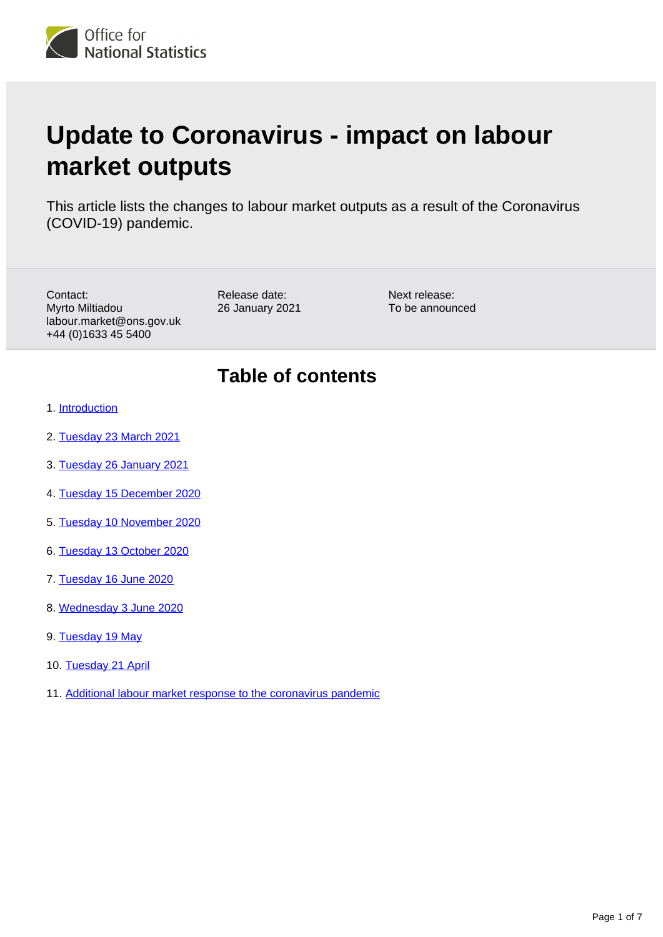

# **Update to Coronavirus - impact on labour market outputs**

This article lists the changes to labour market outputs as a result of the Coronavirus (COVID-19) pandemic.

Contact: Myrto Miltiadou labour.market@ons.gov.uk +44 (0)1633 45 5400

Release date: 26 January 2021 Next release: To be announced

## **Table of contents**

- 1. [Introduction](#page-1-0)
- 2. [Tuesday 23 March 2021](#page-1-1)
- 3. [Tuesday 26 January 2021](#page-1-2)
- 4. [Tuesday 15 December 2020](#page-2-0)
- 5. [Tuesday 10 November 2020](#page-2-1)
- 6. [Tuesday 13 October 2020](#page-4-0)
- 7. [Tuesday 16 June 2020](#page-4-1)
- 8. [Wednesday 3 June 2020](#page-5-0)
- 9. [Tuesday 19 May](#page-5-1)
- 10. [Tuesday 21 April](#page-5-2)
- 11. [Additional labour market response to the coronavirus pandemic](#page-6-0)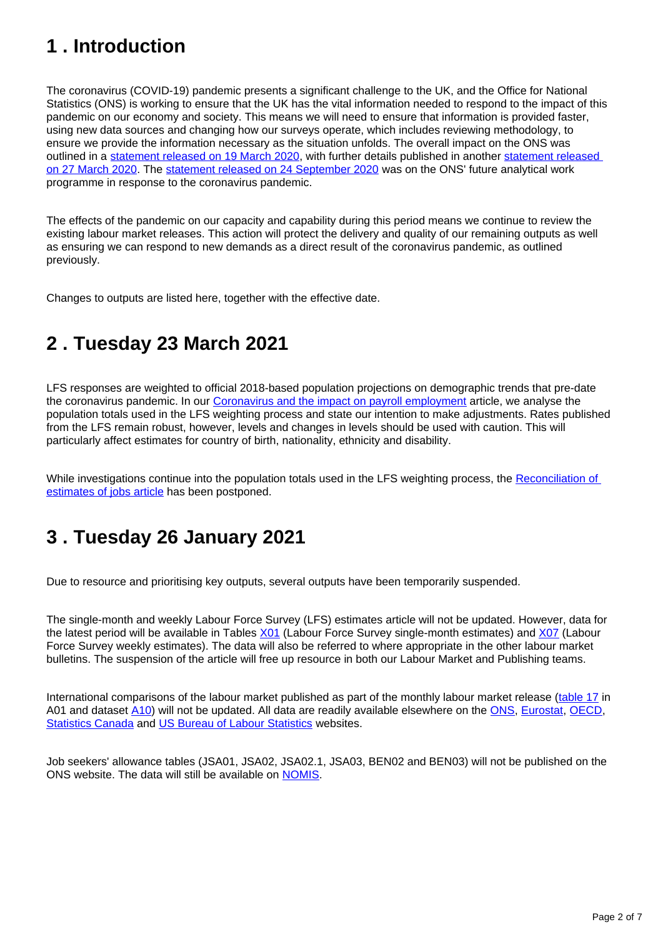# <span id="page-1-0"></span>**1 . Introduction**

The coronavirus (COVID-19) pandemic presents a significant challenge to the UK, and the Office for National Statistics (ONS) is working to ensure that the UK has the vital information needed to respond to the impact of this pandemic on our economy and society. This means we will need to ensure that information is provided faster, using new data sources and changing how our surveys operate, which includes reviewing methodology, to ensure we provide the information necessary as the situation unfolds. The overall impact on the ONS was outlined in a [statement released on 19 March 2020](https://www.ons.gov.uk/news/statementsandletters/covid19andtheproductionofstatistics), with further details published in another statement released [on 27 March 2020](https://www.ons.gov.uk/news/statementsandletters/ensuringthebestpossibleinformationduringcovid19throughsafedatacollection). The [statement released on 24 September 2020](https://www.ons.gov.uk/news/statementsandletters/ourfutureanalyticalworkprogrammeinresponsetocovid19autumn2020) was on the ONS' future analytical work programme in response to the coronavirus pandemic.

The effects of the pandemic on our capacity and capability during this period means we continue to review the existing labour market releases. This action will protect the delivery and quality of our remaining outputs as well as ensuring we can respond to new demands as a direct result of the coronavirus pandemic, as outlined previously.

Changes to outputs are listed here, together with the effective date.

## <span id="page-1-1"></span>**2 . Tuesday 23 March 2021**

LFS responses are weighted to official 2018-based population projections on demographic trends that pre-date the coronavirus pandemic. In our [Coronavirus and the impact on payroll employment](https://www.ons.gov.uk/visualisations/dvc1252/lines/datadownload.xlsx) article, we analyse the population totals used in the LFS weighting process and state our intention to make adjustments. Rates published from the LFS remain robust, however, levels and changes in levels should be used with caution. This will particularly affect estimates for country of birth, nationality, ethnicity and disability.

While investigations continue into the population totals used in the LFS weighting process, the Reconciliation of [estimates of jobs article](https://www.ons.gov.uk/employmentandlabourmarket/peopleinwork/employmentandemployeetypes/articles/reconciliationofestimatesofjobs/march2020) has been postponed.

# <span id="page-1-2"></span>**3 . Tuesday 26 January 2021**

Due to resource and prioritising key outputs, several outputs have been temporarily suspended.

The single-month and weekly Labour Force Survey (LFS) estimates article will not be updated. However, data for the latest period will be available in Tables [X01](https://www.ons.gov.uk/employmentandlabourmarket/peopleinwork/employmentandemployeetypes/datasets/labourforcesurveysinglemonthestimatesx01) (Labour Force Survey single-month estimates) and [X07](https://www.ons.gov.uk/employmentandlabourmarket/peopleinwork/employmentandemployeetypes/datasets/x07labourforcesurveyweeklyestimates) (Labour Force Survey weekly estimates). The data will also be referred to where appropriate in the other labour market bulletins. The suspension of the article will free up resource in both our Labour Market and Publishing teams.

International comparisons of the labour market published as part of the monthly labour market release ([table 17](https://www.ons.gov.uk/employmentandlabourmarket/peopleinwork/employmentandemployeetypes/bulletins/uklabourmarket/december2020) in A01 and dataset [A10](https://www.ons.gov.uk/employmentandlabourmarket/peopleinwork/employmentandemployeetypes/datasets/internationalcomparisonsofemploymentandunemploymentratesa10)) will not be updated. All data are readily available elsewhere on the [ONS](https://www.ons.gov.uk/employmentandlabourmarket/peopleinwork/employmentandemployeetypes/datasets/summaryoflabourmarketstatistics), [Eurostat,](https://ec.europa.eu/eurostat/data/database) [OECD,](https://stats.oecd.org/Index.aspx?DataSetCode=STLABOUR) [Statistics Canada](https://www.statcan.gc.ca/eng/start) and [US Bureau of Labour Statistics](https://www.bls.gov/) websites.

Job seekers' allowance tables (JSA01, JSA02, JSA02.1, JSA03, BEN02 and BEN03) will not be published on the ONS website. The data will still be available on [NOMIS.](https://www.nomisweb.co.uk/)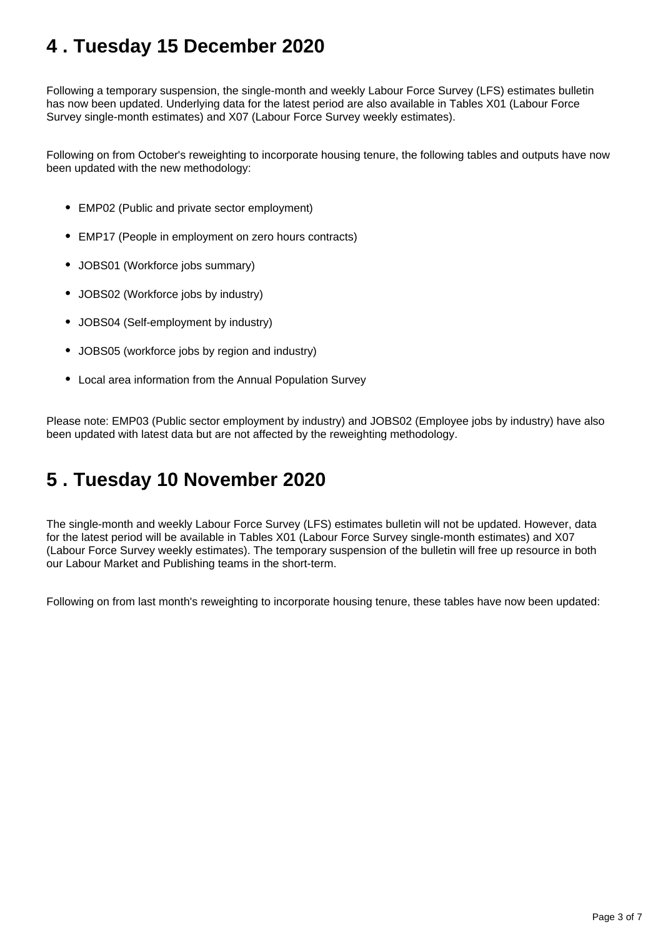# <span id="page-2-0"></span>**4 . Tuesday 15 December 2020**

Following a temporary suspension, the single-month and weekly Labour Force Survey (LFS) estimates bulletin has now been updated. Underlying data for the latest period are also available in Tables X01 (Labour Force Survey single-month estimates) and X07 (Labour Force Survey weekly estimates).

Following on from October's reweighting to incorporate housing tenure, the following tables and outputs have now been updated with the new methodology:

- EMP02 (Public and private sector employment)
- EMP17 (People in employment on zero hours contracts)
- JOBS01 (Workforce jobs summary)
- JOBS02 (Workforce jobs by industry)
- JOBS04 (Self-employment by industry)
- JOBS05 (workforce jobs by region and industry)
- Local area information from the Annual Population Survey

Please note: EMP03 (Public sector employment by industry) and JOBS02 (Employee jobs by industry) have also been updated with latest data but are not affected by the reweighting methodology.

#### <span id="page-2-1"></span>**5 . Tuesday 10 November 2020**

The single-month and weekly Labour Force Survey (LFS) estimates bulletin will not be updated. However, data for the latest period will be available in Tables X01 (Labour Force Survey single-month estimates) and X07 (Labour Force Survey weekly estimates). The temporary suspension of the bulletin will free up resource in both our Labour Market and Publishing teams in the short-term.

Following on from last month's reweighting to incorporate housing tenure, these tables have now been updated: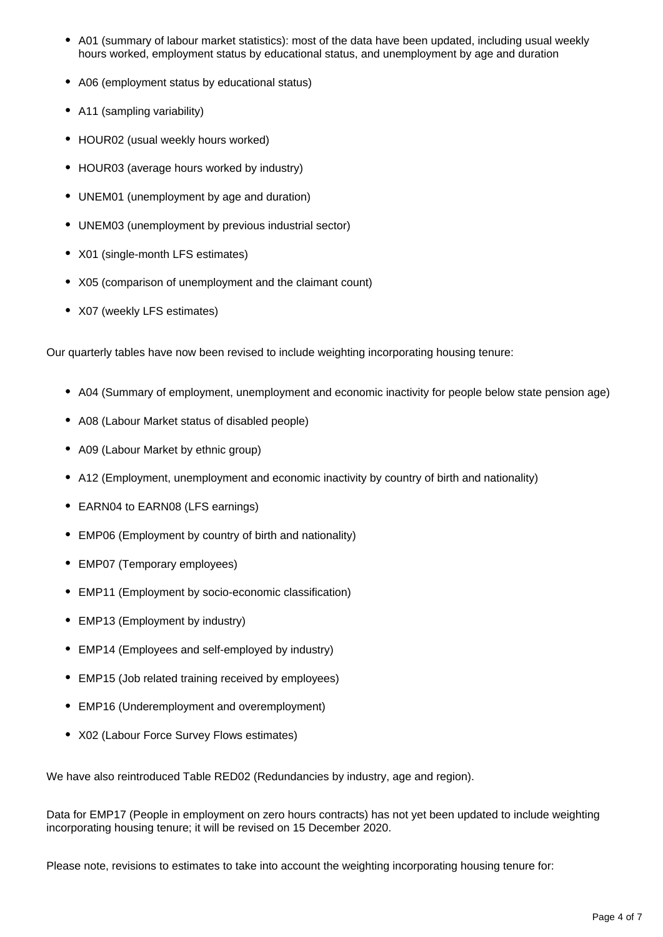- A01 (summary of labour market statistics): most of the data have been updated, including usual weekly hours worked, employment status by educational status, and unemployment by age and duration
- A06 (employment status by educational status)
- A11 (sampling variability)
- HOUR02 (usual weekly hours worked)
- HOUR03 (average hours worked by industry)
- UNEM01 (unemployment by age and duration)
- UNEM03 (unemployment by previous industrial sector)
- X01 (single-month LFS estimates)
- X05 (comparison of unemployment and the claimant count)
- X07 (weekly LFS estimates)

Our quarterly tables have now been revised to include weighting incorporating housing tenure:

- A04 (Summary of employment, unemployment and economic inactivity for people below state pension age)
- A08 (Labour Market status of disabled people)
- A09 (Labour Market by ethnic group)
- A12 (Employment, unemployment and economic inactivity by country of birth and nationality)
- EARN04 to EARN08 (LFS earnings)
- EMP06 (Employment by country of birth and nationality)
- EMP07 (Temporary employees)
- EMP11 (Employment by socio-economic classification)
- EMP13 (Employment by industry)
- EMP14 (Employees and self-employed by industry)
- EMP15 (Job related training received by employees)
- EMP16 (Underemployment and overemployment)
- X02 (Labour Force Survey Flows estimates)

We have also reintroduced Table RED02 (Redundancies by industry, age and region).

Data for EMP17 (People in employment on zero hours contracts) has not yet been updated to include weighting incorporating housing tenure; it will be revised on 15 December 2020.

Please note, revisions to estimates to take into account the weighting incorporating housing tenure for: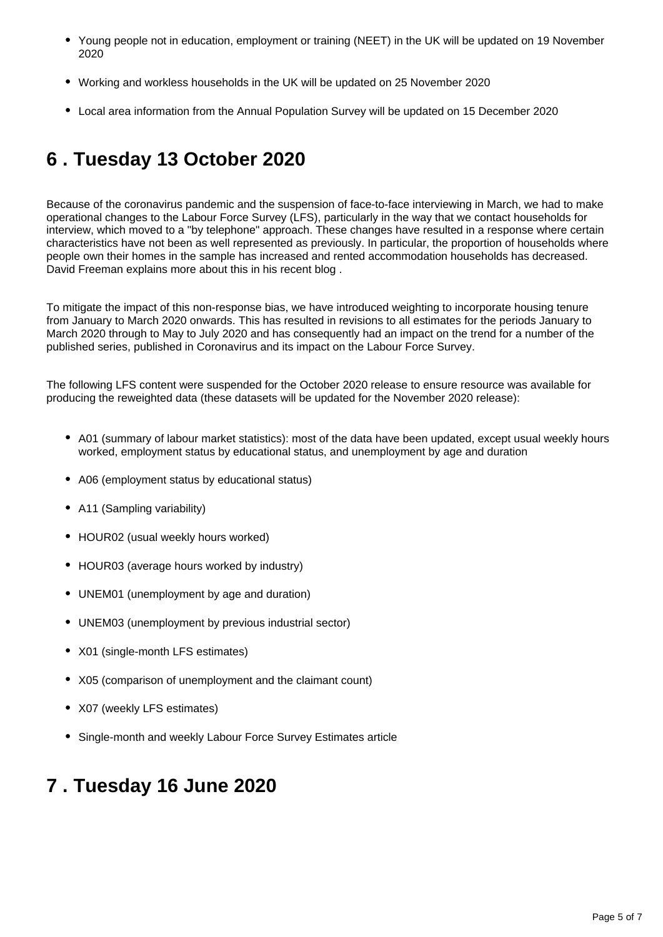- Young people not in education, employment or training (NEET) in the UK will be updated on 19 November 2020
- Working and workless households in the UK will be updated on 25 November 2020
- Local area information from the Annual Population Survey will be updated on 15 December 2020

# <span id="page-4-0"></span>**6 . Tuesday 13 October 2020**

Because of the coronavirus pandemic and the suspension of face-to-face interviewing in March, we had to make operational changes to the Labour Force Survey (LFS), particularly in the way that we contact households for interview, which moved to a "by telephone" approach. These changes have resulted in a response where certain characteristics have not been as well represented as previously. In particular, the proportion of households where people own their homes in the sample has increased and rented accommodation households has decreased. David Freeman explains more about this in his recent blog .

To mitigate the impact of this non-response bias, we have introduced weighting to incorporate housing tenure from January to March 2020 onwards. This has resulted in revisions to all estimates for the periods January to March 2020 through to May to July 2020 and has consequently had an impact on the trend for a number of the published series, published in Coronavirus and its impact on the Labour Force Survey.

The following LFS content were suspended for the October 2020 release to ensure resource was available for producing the reweighted data (these datasets will be updated for the November 2020 release):

- A01 (summary of labour market statistics): most of the data have been updated, except usual weekly hours worked, employment status by educational status, and unemployment by age and duration
- A06 (employment status by educational status)
- A11 (Sampling variability)
- HOUR02 (usual weekly hours worked)
- HOUR03 (average hours worked by industry)
- UNEM01 (unemployment by age and duration)
- UNEM03 (unemployment by previous industrial sector)
- X01 (single-month LFS estimates)
- X05 (comparison of unemployment and the claimant count)
- X07 (weekly LFS estimates)
- Single-month and weekly Labour Force Survey Estimates article

#### <span id="page-4-1"></span>**7 . Tuesday 16 June 2020**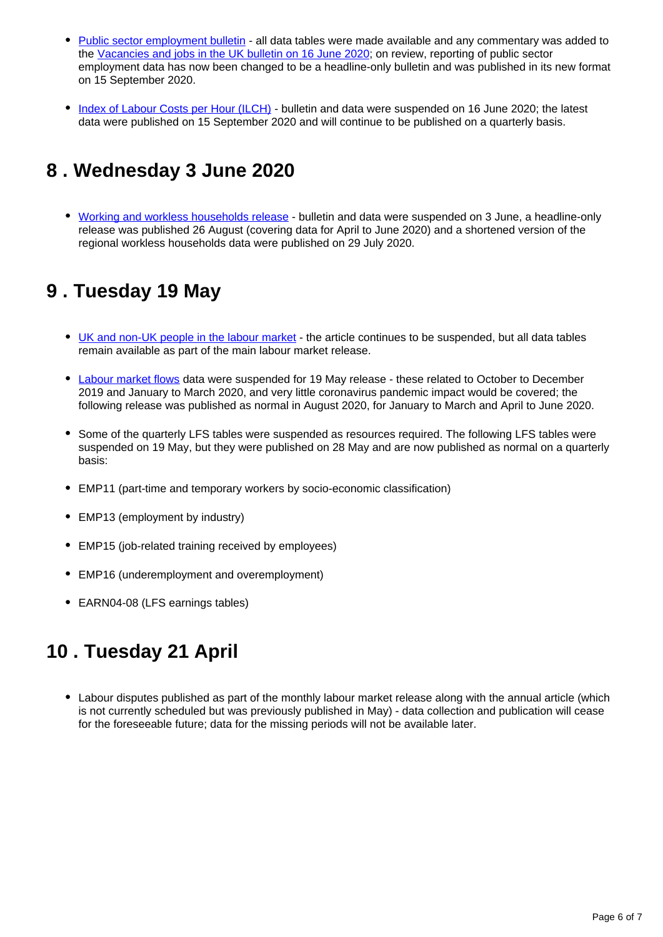- [Public sector employment bulletin](https://www.ons.gov.uk/employmentandlabourmarket/peopleinwork/publicsectorpersonnel/bulletins/publicsectoremployment/december2019)  all data tables were made available and any commentary was added to the [Vacancies and jobs in the UK bulletin on 16 June 2020;](https://www.ons.gov.uk/employmentandlabourmarket/peopleinwork/employmentandemployeetypes/bulletins/jobsandvacanciesintheuk/june2020) on review, reporting of public sector employment data has now been changed to be a headline-only bulletin and was published in its new format on 15 September 2020.
- [Index of Labour Costs per Hour \(ILCH\)](https://www.ons.gov.uk/employmentandlabourmarket/peopleinwork/earningsandworkinghours/bulletins/indexoflabourcostsperhourilch/octobertodecember2019)  bulletin and data were suspended on 16 June 2020; the latest data were published on 15 September 2020 and will continue to be published on a quarterly basis.

# <span id="page-5-0"></span>**8 . Wednesday 3 June 2020**

• [Working and workless households release](https://www.ons.gov.uk/employmentandlabourmarket/peopleinwork/employmentandemployeetypes/bulletins/workingandworklesshouseholds/octobertodecember2019) - bulletin and data were suspended on 3 June, a headline-only release was published 26 August (covering data for April to June 2020) and a shortened version of the regional workless households data were published on 29 July 2020.

## <span id="page-5-1"></span>**9 . Tuesday 19 May**

- [UK and non-UK people in the labour market](https://www.ons.gov.uk/employmentandlabourmarket/peopleinwork/employmentandemployeetypes/articles/ukandnonukpeopleinthelabourmarket/february2020) the article continues to be suspended, but all data tables remain available as part of the main labour market release.
- [Labour market flows](https://www.ons.gov.uk/employmentandlabourmarket/peopleinwork/employmentandemployeetypes/datasets/labourforcesurveyflowsestimatesx02) data were suspended for 19 May release these related to October to December 2019 and January to March 2020, and very little coronavirus pandemic impact would be covered; the following release was published as normal in August 2020, for January to March and April to June 2020.
- Some of the quarterly LFS tables were suspended as resources required. The following LFS tables were suspended on 19 May, but they were published on 28 May and are now published as normal on a quarterly basis:
- EMP11 (part-time and temporary workers by socio-economic classification)
- EMP13 (employment by industry)
- EMP15 (job-related training received by employees)
- EMP16 (underemployment and overemployment)
- EARN04-08 (LFS earnings tables)

# <span id="page-5-2"></span>**10 . Tuesday 21 April**

Labour disputes published as part of the monthly labour market release along with the annual article (which is not currently scheduled but was previously published in May) - data collection and publication will cease for the foreseeable future; data for the missing periods will not be available later.